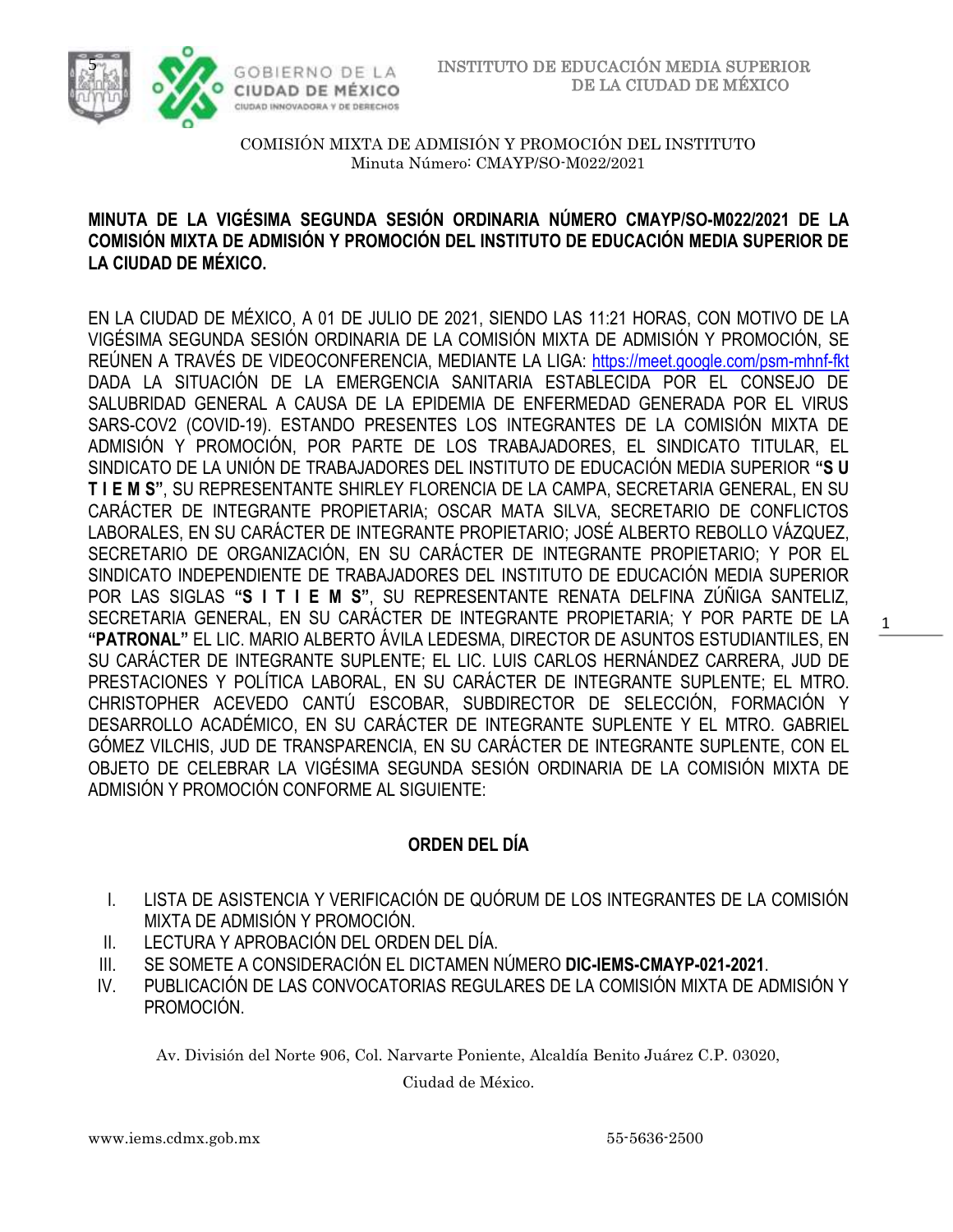

## **MINUTA DE LA VIGÉSIMA SEGUNDA SESIÓN ORDINARIA NÚMERO CMAYP/SO-M022/2021 DE LA COMISIÓN MIXTA DE ADMISIÓN Y PROMOCIÓN DEL INSTITUTO DE EDUCACIÓN MEDIA SUPERIOR DE LA CIUDAD DE MÉXICO.**

EN LA CIUDAD DE MÉXICO, A 01 DE JULIO DE 2021, SIENDO LAS 11:21 HORAS, CON MOTIVO DE LA VIGÉSIMA SEGUNDA SESIÓN ORDINARIA DE LA COMISIÓN MIXTA DE ADMISIÓN Y PROMOCIÓN, SE REÚNEN A TRAVÉS DE VIDEOCONFERENCIA, MEDIANTE LA LIGA: <https://meet.google.com/psm-mhnf-fkt> DADA LA SITUACIÓN DE LA EMERGENCIA SANITARIA ESTABLECIDA POR EL CONSEJO DE SALUBRIDAD GENERAL A CAUSA DE LA EPIDEMIA DE ENFERMEDAD GENERADA POR EL VIRUS SARS-COV2 (COVID-19). ESTANDO PRESENTES LOS INTEGRANTES DE LA COMISIÓN MIXTA DE ADMISIÓN Y PROMOCIÓN, POR PARTE DE LOS TRABAJADORES, EL SINDICATO TITULAR, EL SINDICATO DE LA UNIÓN DE TRABAJADORES DEL INSTITUTO DE EDUCACIÓN MEDIA SUPERIOR **"S U T I E M S"**, SU REPRESENTANTE SHIRLEY FLORENCIA DE LA CAMPA, SECRETARIA GENERAL, EN SU CARÁCTER DE INTEGRANTE PROPIETARIA; OSCAR MATA SILVA, SECRETARIO DE CONFLICTOS LABORALES, EN SU CARÁCTER DE INTEGRANTE PROPIETARIO; JOSÉ ALBERTO REBOLLO VÁZQUEZ, SECRETARIO DE ORGANIZACIÓN, EN SU CARÁCTER DE INTEGRANTE PROPIETARIO; Y POR EL SINDICATO INDEPENDIENTE DE TRABAJADORES DEL INSTITUTO DE EDUCACIÓN MEDIA SUPERIOR POR LAS SIGLAS **"S I T I E M S"**, SU REPRESENTANTE RENATA DELFINA ZÚÑIGA SANTELIZ, SECRETARIA GENERAL, EN SU CARÁCTER DE INTEGRANTE PROPIETARIA; Y POR PARTE DE LA **"PATRONAL"** EL LIC. MARIO ALBERTO ÁVILA LEDESMA, DIRECTOR DE ASUNTOS ESTUDIANTILES, EN SU CARÁCTER DE INTEGRANTE SUPLENTE; EL LIC. LUIS CARLOS HERNÁNDEZ CARRERA, JUD DE PRESTACIONES Y POLÍTICA LABORAL, EN SU CARÁCTER DE INTEGRANTE SUPLENTE; EL MTRO. CHRISTOPHER ACEVEDO CANTÚ ESCOBAR, SUBDIRECTOR DE SELECCIÓN, FORMACIÓN Y DESARROLLO ACADÉMICO, EN SU CARÁCTER DE INTEGRANTE SUPLENTE Y EL MTRO. GABRIEL GÓMEZ VILCHIS, JUD DE TRANSPARENCIA, EN SU CARÁCTER DE INTEGRANTE SUPLENTE, CON EL OBJETO DE CELEBRAR LA VIGÉSIMA SEGUNDA SESIÓN ORDINARIA DE LA COMISIÓN MIXTA DE ADMISIÓN Y PROMOCIÓN CONFORME AL SIGUIENTE:

# **ORDEN DEL DÍA**

- I. LISTA DE ASISTENCIA Y VERIFICACIÓN DE QUÓRUM DE LOS INTEGRANTES DE LA COMISIÓN MIXTA DE ADMISIÓN Y PROMOCIÓN.
- II. LECTURA Y APROBACIÓN DEL ORDEN DEL DÍA.
- III. SE SOMETE A CONSIDERACIÓN EL DICTAMEN NÚMERO **DIC-IEMS-CMAYP-021-2021**.
- IV. PUBLICACIÓN DE LAS CONVOCATORIAS REGULARES DE LA COMISIÓN MIXTA DE ADMISIÓN Y PROMOCIÓN.

Av. División del Norte 906, Col. Narvarte Poniente, Alcaldía Benito Juárez C.P. 03020,

Ciudad de México.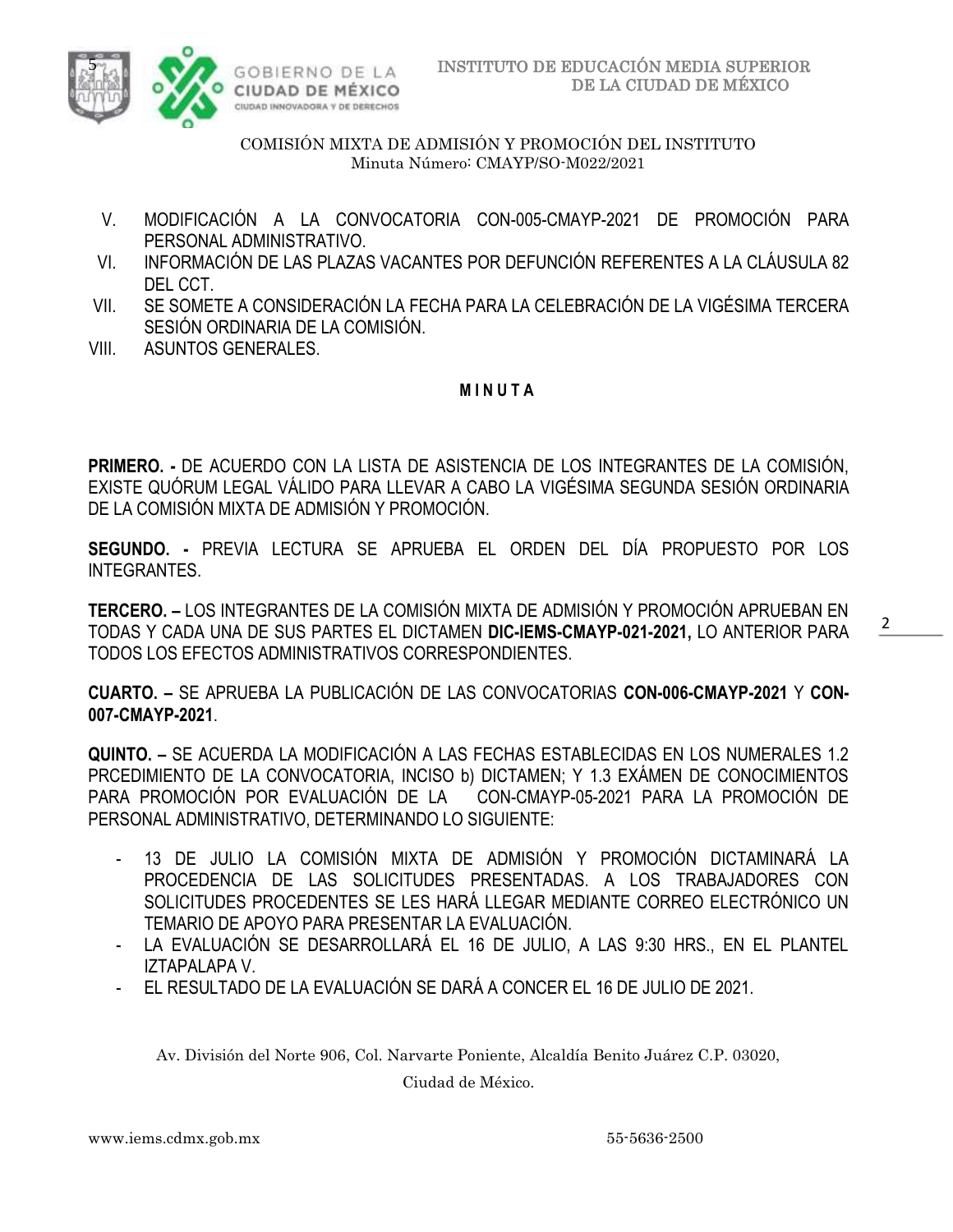



- V. MODIFICACIÓN A LA CONVOCATORIA CON-005-CMAYP-2021 DE PROMOCIÓN PARA PERSONAL ADMINISTRATIVO.
- VI. INFORMACIÓN DE LAS PLAZAS VACANTES POR DEFUNCIÓN REFERENTES A LA CLÁUSULA 82 DEL CCT.
- VII. SE SOMETE A CONSIDERACIÓN LA FECHA PARA LA CELEBRACIÓN DE LA VIGÉSIMA TERCERA SESIÓN ORDINARIA DE LA COMISIÓN.
- VIII. ASUNTOS GENERALES.

### **M I N U T A**

**PRIMERO. -** DE ACUERDO CON LA LISTA DE ASISTENCIA DE LOS INTEGRANTES DE LA COMISIÓN, EXISTE QUÓRUM LEGAL VÁLIDO PARA LLEVAR A CABO LA VIGÉSIMA SEGUNDA SESIÓN ORDINARIA DE LA COMISIÓN MIXTA DE ADMISIÓN Y PROMOCIÓN.

**SEGUNDO. -** PREVIA LECTURA SE APRUEBA EL ORDEN DEL DÍA PROPUESTO POR LOS INTEGRANTES.

**TERCERO. –** LOS INTEGRANTES DE LA COMISIÓN MIXTA DE ADMISIÓN Y PROMOCIÓN APRUEBAN EN TODAS Y CADA UNA DE SUS PARTES EL DICTAMEN **DIC-IEMS-CMAYP-021-2021,** LO ANTERIOR PARA TODOS LOS EFECTOS ADMINISTRATIVOS CORRESPONDIENTES.

**CUARTO. –** SE APRUEBA LA PUBLICACIÓN DE LAS CONVOCATORIAS **CON-006-CMAYP-2021** Y **CON-007-CMAYP-2021**.

**QUINTO. –** SE ACUERDA LA MODIFICACIÓN A LAS FECHAS ESTABLECIDAS EN LOS NUMERALES 1.2 PRCEDIMIENTO DE LA CONVOCATORIA, INCISO b) DICTAMEN; Y 1.3 EXÁMEN DE CONOCIMIENTOS PARA PROMOCIÓN POR EVALUACIÓN DE LA CON-CMAYP-05-2021 PARA LA PROMOCIÓN DE PERSONAL ADMINISTRATIVO, DETERMINANDO LO SIGUIENTE:

- 13 DE JULIO LA COMISIÓN MIXTA DE ADMISIÓN Y PROMOCIÓN DICTAMINARÁ LA PROCEDENCIA DE LAS SOLICITUDES PRESENTADAS. A LOS TRABAJADORES CON SOLICITUDES PROCEDENTES SE LES HARÁ LLEGAR MEDIANTE CORREO ELECTRÓNICO UN TEMARIO DE APOYO PARA PRESENTAR LA EVALUACIÓN.
- LA EVALUACIÓN SE DESARROLLARÁ EL 16 DE JULIO, A LAS 9:30 HRS., EN EL PLANTEL IZTAPALAPA V.
- EL RESULTADO DE LA EVALUACIÓN SE DARÁ A CONCER EL 16 DE JULIO DE 2021.

Av. División del Norte 906, Col. Narvarte Poniente, Alcaldía Benito Juárez C.P. 03020,

Ciudad de México.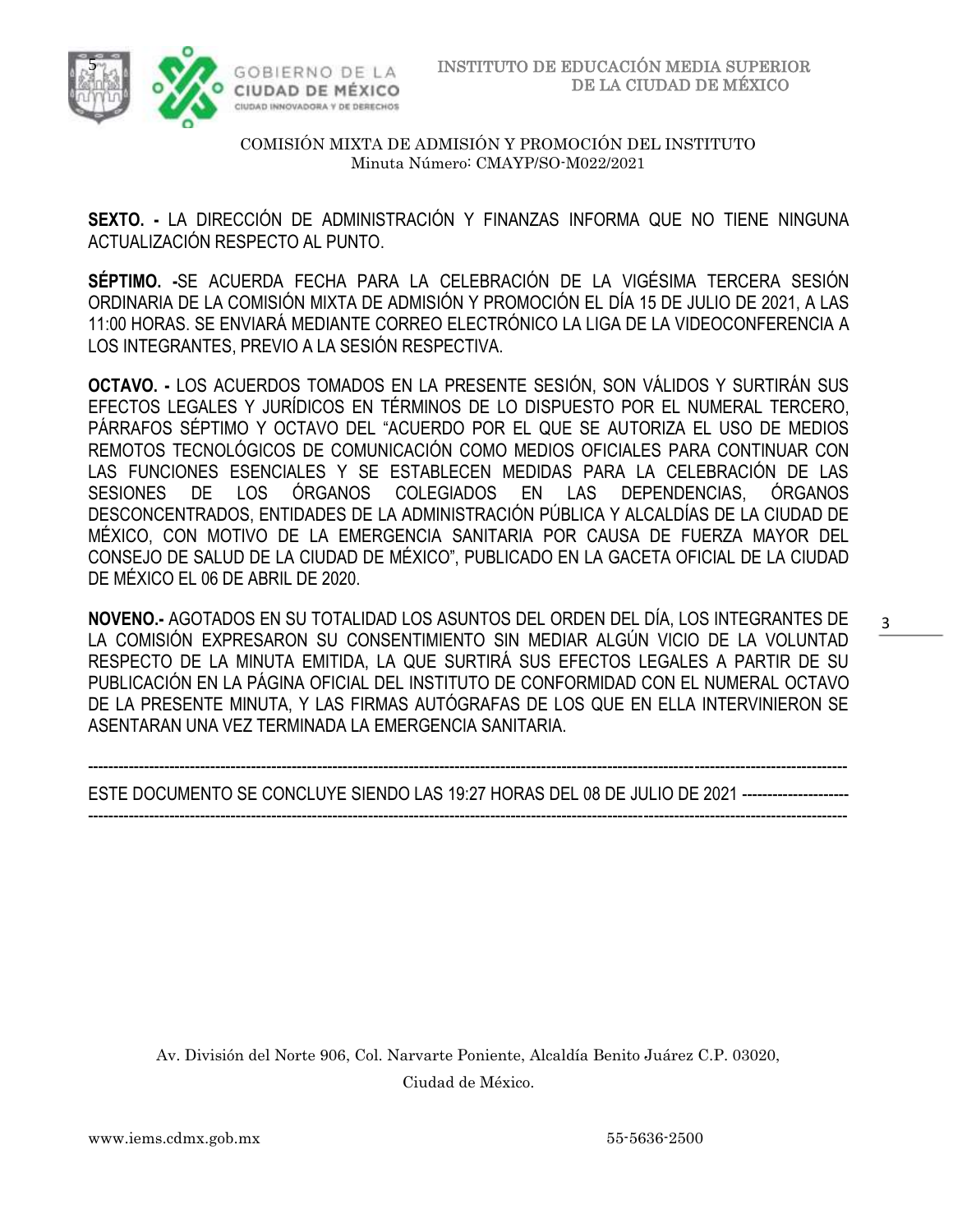

**SEXTO. -** LA DIRECCIÓN DE ADMINISTRACIÓN Y FINANZAS INFORMA QUE NO TIENE NINGUNA ACTUALIZACIÓN RESPECTO AL PUNTO.

**SÉPTIMO. -**SE ACUERDA FECHA PARA LA CELEBRACIÓN DE LA VIGÉSIMA TERCERA SESIÓN ORDINARIA DE LA COMISIÓN MIXTA DE ADMISIÓN Y PROMOCIÓN EL DÍA 15 DE JULIO DE 2021, A LAS 11:00 HORAS. SE ENVIARÁ MEDIANTE CORREO ELECTRÓNICO LA LIGA DE LA VIDEOCONFERENCIA A LOS INTEGRANTES, PREVIO A LA SESIÓN RESPECTIVA.

**OCTAVO. -** LOS ACUERDOS TOMADOS EN LA PRESENTE SESIÓN, SON VÁLIDOS Y SURTIRÁN SUS EFECTOS LEGALES Y JURÍDICOS EN TÉRMINOS DE LO DISPUESTO POR EL NUMERAL TERCERO, PÁRRAFOS SÉPTIMO Y OCTAVO DEL "ACUERDO POR EL QUE SE AUTORIZA EL USO DE MEDIOS REMOTOS TECNOLÓGICOS DE COMUNICACIÓN COMO MEDIOS OFICIALES PARA CONTINUAR CON LAS FUNCIONES ESENCIALES Y SE ESTABLECEN MEDIDAS PARA LA CELEBRACIÓN DE LAS SESIONES DE LOS ÓRGANOS COLEGIADOS EN LAS DEPENDENCIAS, ÓRGANOS DESCONCENTRADOS, ENTIDADES DE LA ADMINISTRACIÓN PÚBLICA Y ALCALDÍAS DE LA CIUDAD DE MÉXICO, CON MOTIVO DE LA EMERGENCIA SANITARIA POR CAUSA DE FUERZA MAYOR DEL CONSEJO DE SALUD DE LA CIUDAD DE MÉXICO", PUBLICADO EN LA GACETA OFICIAL DE LA CIUDAD DE MÉXICO EL 06 DE ABRIL DE 2020.

**NOVENO.-** AGOTADOS EN SU TOTALIDAD LOS ASUNTOS DEL ORDEN DEL DÍA, LOS INTEGRANTES DE LA COMISIÓN EXPRESARON SU CONSENTIMIENTO SIN MEDIAR ALGÚN VICIO DE LA VOLUNTAD RESPECTO DE LA MINUTA EMITIDA, LA QUE SURTIRÁ SUS EFECTOS LEGALES A PARTIR DE SU PUBLICACIÓN EN LA PÁGINA OFICIAL DEL INSTITUTO DE CONFORMIDAD CON EL NUMERAL OCTAVO DE LA PRESENTE MINUTA, Y LAS FIRMAS AUTÓGRAFAS DE LOS QUE EN ELLA INTERVINIERON SE ASENTARAN UNA VEZ TERMINADA LA EMERGENCIA SANITARIA.

----------------------------------------------------------------------------------------------------------------------------------------------------- ESTE DOCUMENTO SE CONCLUYE SIENDO LAS 19:27 HORAS DEL 08 DE JULIO DE 2021 --------------------- -----------------------------------------------------------------------------------------------------------------------------------------------------

Av. División del Norte 906, Col. Narvarte Poniente, Alcaldía Benito Juárez C.P. 03020, Ciudad de México.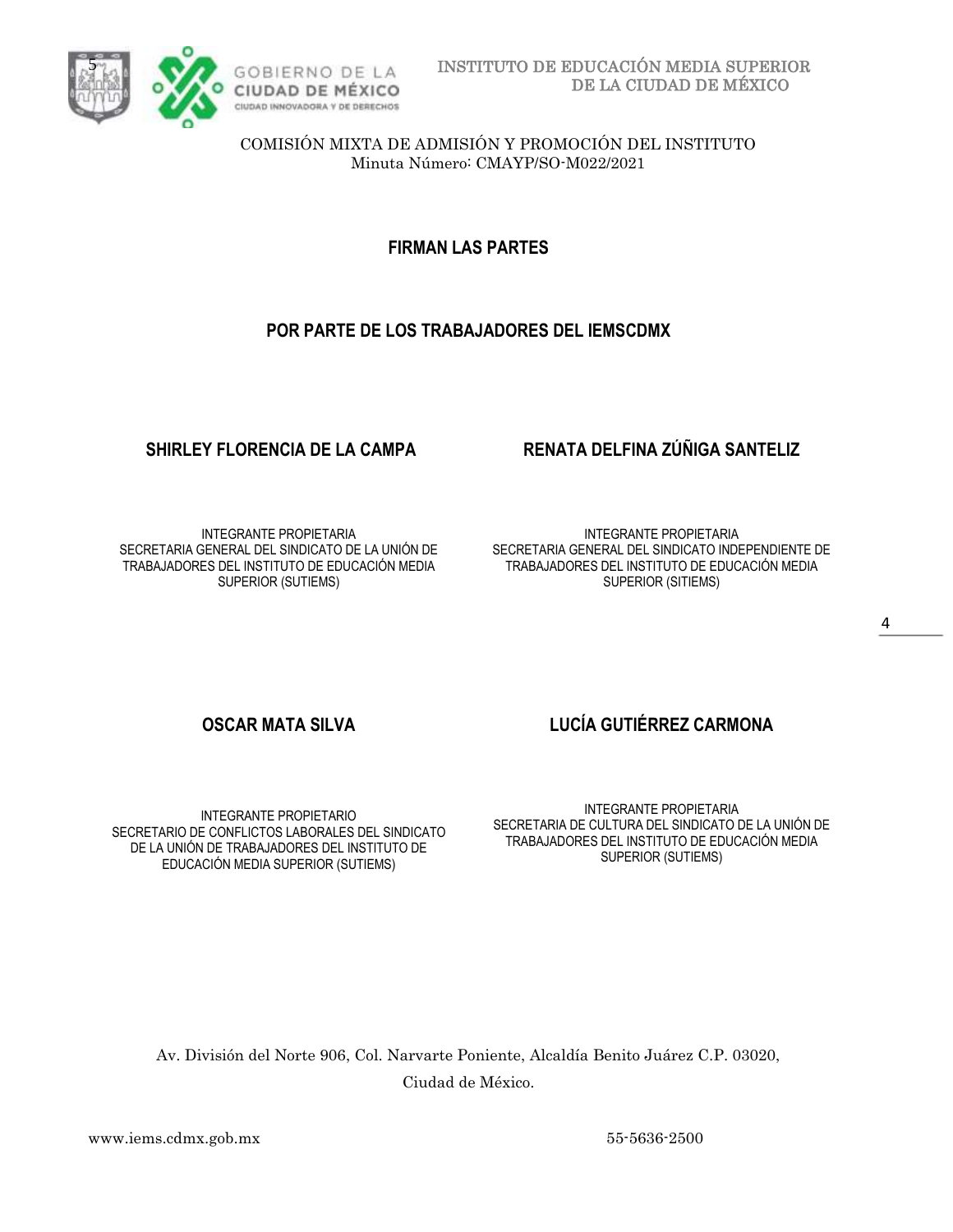

**FIRMAN LAS PARTES**

## **POR PARTE DE LOS TRABAJADORES DEL IEMSCDMX**

INTEGRANTE PROPIETARIA SECRETARIA GENERAL DEL SINDICATO DE LA UNIÓN DE TRABAJADORES DEL INSTITUTO DE EDUCACIÓN MEDIA SUPERIOR (SUTIEMS)

# **SHIRLEY FLORENCIA DE LA CAMPA RENATA DELFINA ZÚÑIGA SANTELIZ**

INTEGRANTE PROPIETARIA SECRETARIA GENERAL DEL SINDICATO INDEPENDIENTE DE TRABAJADORES DEL INSTITUTO DE EDUCACIÓN MEDIA SUPERIOR (SITIEMS)

INTEGRANTE PROPIETARIO SECRETARIO DE CONFLICTOS LABORALES DEL SINDICATO DE LA UNIÓN DE TRABAJADORES DEL INSTITUTO DE EDUCACIÓN MEDIA SUPERIOR (SUTIEMS)

# **OSCAR MATA SILVA LUCÍA GUTIÉRREZ CARMONA**

INTEGRANTE PROPIETARIA SECRETARIA DE CULTURA DEL SINDICATO DE LA UNIÓN DE TRABAJADORES DEL INSTITUTO DE EDUCACIÓN MEDIA SUPERIOR (SUTIEMS)

Av. División del Norte 906, Col. Narvarte Poniente, Alcaldía Benito Juárez C.P. 03020, Ciudad de México.